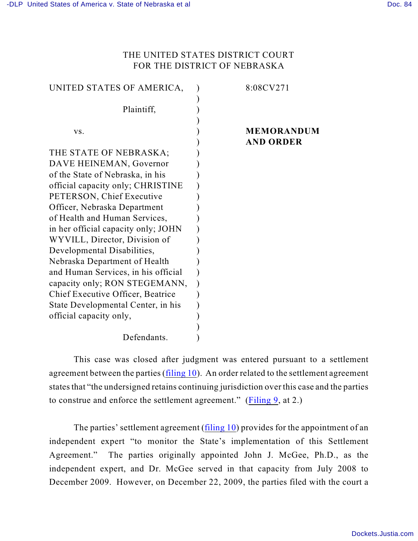## THE UNITED STATES DISTRICT COURT FOR THE DISTRICT OF NEBRASKA

| UNITED STATES OF AMERICA,           | 8:08CV271         |
|-------------------------------------|-------------------|
|                                     |                   |
| Plaintiff,                          |                   |
|                                     |                   |
| VS.                                 | <b>MEMORANDUM</b> |
|                                     | <b>AND ORDER</b>  |
| THE STATE OF NEBRASKA;              |                   |
| DAVE HEINEMAN, Governor             |                   |
| of the State of Nebraska, in his    |                   |
| official capacity only; CHRISTINE   |                   |
| PETERSON, Chief Executive           |                   |
| Officer, Nebraska Department        |                   |
| of Health and Human Services,       |                   |
| in her official capacity only; JOHN |                   |
| WYVILL, Director, Division of       |                   |
| Developmental Disabilities,         |                   |
| Nebraska Department of Health       |                   |
| and Human Services, in his official |                   |
| capacity only; RON STEGEMANN,       |                   |
| Chief Executive Officer, Beatrice   |                   |
| State Developmental Center, in his  |                   |
| official capacity only,             |                   |
|                                     |                   |
| Defendants.                         |                   |

This case was closed after judgment was entered pursuant to a settlement agreement between the parties [\(filing 10](https://ecf.ned.uscourts.gov/doc1/11301480830)). An order related to the settlement agreement states that "the undersigned retains continuing jurisdiction over this case and the parties to construe and enforce the settlement agreement." [\(Filing 9](https://ecf.ned.uscourts.gov/doc1/11301480807), at 2.)

The parties' settlement agreement [\(filing 10](https://ecf.ned.uscourts.gov/doc1/11301480830)) provides for the appointment of an independent expert "to monitor the State's implementation of this Settlement Agreement." The parties originally appointed John J. McGee, Ph.D., as the independent expert, and Dr. McGee served in that capacity from July 2008 to December 2009. However, on December 22, 2009, the parties filed with the court a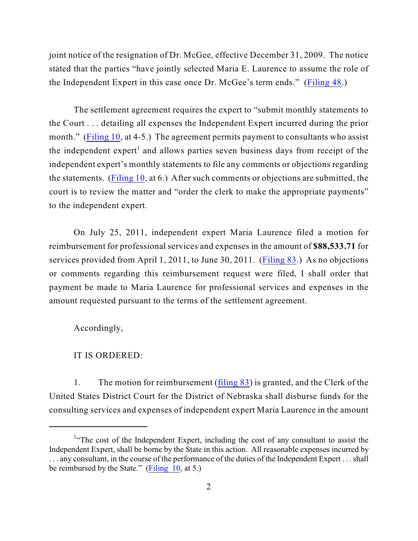joint notice of the resignation of Dr. McGee, effective December 31, 2009. The notice stated that the parties "have jointly selected Maria E. Laurence to assume the role of the Independent Expert in this case once Dr. McGee's term ends." ([Filing 48](https://ecf.ned.uscourts.gov/doc1/11311912465).)

The settlement agreement requires the expert to "submit monthly statements to the Court . . . detailing all expenses the Independent Expert incurred during the prior month." [\(Filing 10](https://ecf.ned.uscourts.gov/doc1/11301480830), at 4-5.) The agreement permits payment to consultants who assist the independent expert<sup>1</sup> and allows parties seven business days from receipt of the independent expert's monthly statements to file any comments or objections regarding the statements. [\(Filing 10](https://ecf.ned.uscourts.gov/doc1/11301480830), at 6.) After such comments or objections are submitted, the court is to review the matter and "order the clerk to make the appropriate payments" to the independent expert.

On July 25, 2011, independent expert Maria Laurence filed a motion for reimbursement for professional services and expenses in the amount of **\$88,533.71** for services provided from April 1, 2011, to June 30, 2011. [\(Filing 83](https://ecf.ned.uscourts.gov/doc1/11312316837).) As no objections or comments regarding this reimbursement request were filed, I shall order that payment be made to Maria Laurence for professional services and expenses in the amount requested pursuant to the terms of the settlement agreement.

Accordingly,

## IT IS ORDERED:

1. The motion for reimbursement ([filing 83](https://ecf.ned.uscourts.gov/doc1/11312316837)) is granted, and the Clerk of the United States District Court for the District of Nebraska shall disburse funds for the consulting services and expenses of independent expert Maria Laurence in the amount

<sup>&</sup>lt;sup>1.</sup> The cost of the Independent Expert, including the cost of any consultant to assist the Independent Expert, shall be borne by the State in this action. All reasonable expenses incurred by . . . any consultant, in the course of the performance of the duties of the Independent Expert . . . shall be reimbursed by the State." [\(Filing 10](https://ecf.ned.uscourts.gov/doc1/11311480830), at 5.)